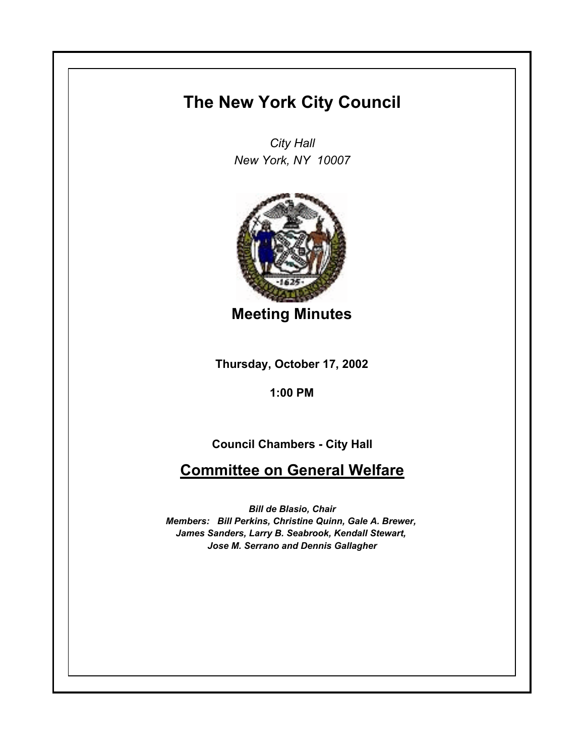## **The New York City Council**

*City Hall New York, NY 10007*



**Meeting Minutes**

**Thursday, October 17, 2002**

**1:00 PM**

**Council Chambers - City Hall**

**Committee on General Welfare**

*Bill de Blasio, Chair Members: Bill Perkins, Christine Quinn, Gale A. Brewer, James Sanders, Larry B. Seabrook, Kendall Stewart, Jose M. Serrano and Dennis Gallagher*